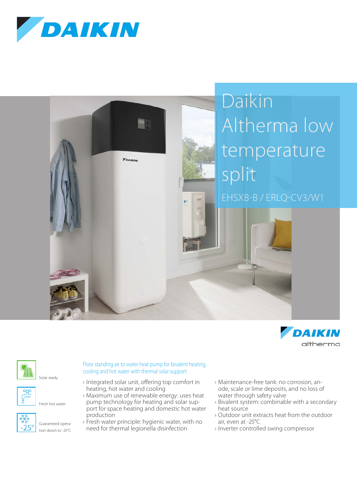









Fresh hot water



Floor standing air to water heat pump for bivalent heating, cooling and hot water with thermal solar support

- › Integrated solar unit, offering top comfort in heating, hot water and cooling
- › Maximum use of renewable energy: uses heat pump technology for heating and solar support for space heating and domestic hot water production
- › Fresh water principle: hygienic water, with no need for thermal legionella disinfection
- › Maintenance-free tank: no corrosion, anode, scale or lime deposits, and no loss of water through safety valve
- › Bivalent system: combinable with a secondary heat source
- › Outdoor unit extracts heat from the outdoor air, even at -25°C
- › Inverter controlled swing compressor